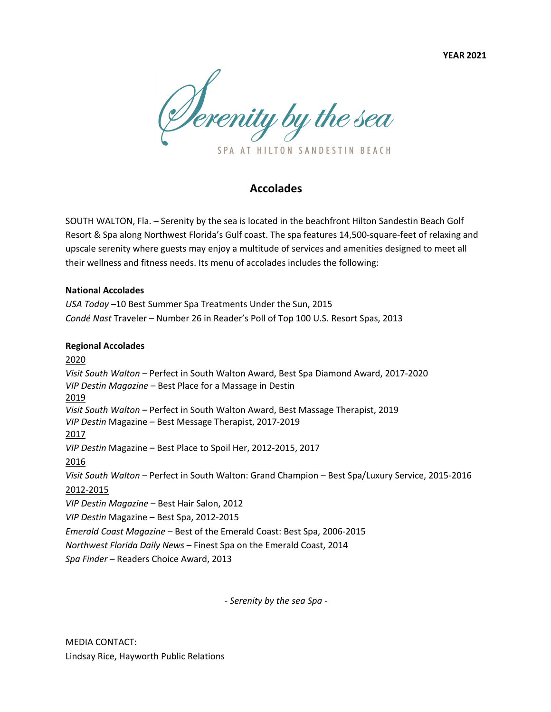**YEAR 2021**

Derenity by the sea SPA AT HILTON SANDESTIN BEACH

## **Accolades**

SOUTH WALTON, Fla. – Serenity by the sea is located in the beachfront Hilton Sandestin Beach Golf Resort & Spa along Northwest Florida's Gulf coast. The spa features 14,500-square-feet of relaxing and upscale serenity where guests may enjoy a multitude of services and amenities designed to meet all their wellness and fitness needs. Its menu of accolades includes the following:

## **National Accolades**

*USA Today –*10 Best Summer Spa Treatments Under the Sun, 2015 *Condé Nast* Traveler – Number 26 in Reader's Poll of Top 100 U.S. Resort Spas, 2013

## **Regional Accolades**

2020 *Visit South Walton –* Perfect in South Walton Award, Best Spa Diamond Award, 2017-2020 *VIP Destin Magazine –* Best Place for a Massage in Destin 2019 *Visit South Walton –* Perfect in South Walton Award, Best Massage Therapist, 2019 *VIP Destin* Magazine – Best Message Therapist, 2017-2019 2017 *VIP Destin* Magazine – Best Place to Spoil Her, 2012-2015, 2017 2016 *Visit South Walton* – Perfect in South Walton: Grand Champion – Best Spa/Luxury Service, 2015-2016 2012-2015 *VIP Destin Magazine –* Best Hair Salon, 2012 *VIP Destin* Magazine – Best Spa, 2012-2015 *Emerald Coast Magazine* – Best of the Emerald Coast: Best Spa, 2006-2015 *Northwest Florida Daily News* – Finest Spa on the Emerald Coast, 2014 *Spa Finder* – Readers Choice Award, 2013

- *Serenity by the sea Spa* -

MEDIA CONTACT: Lindsay Rice, Hayworth Public Relations